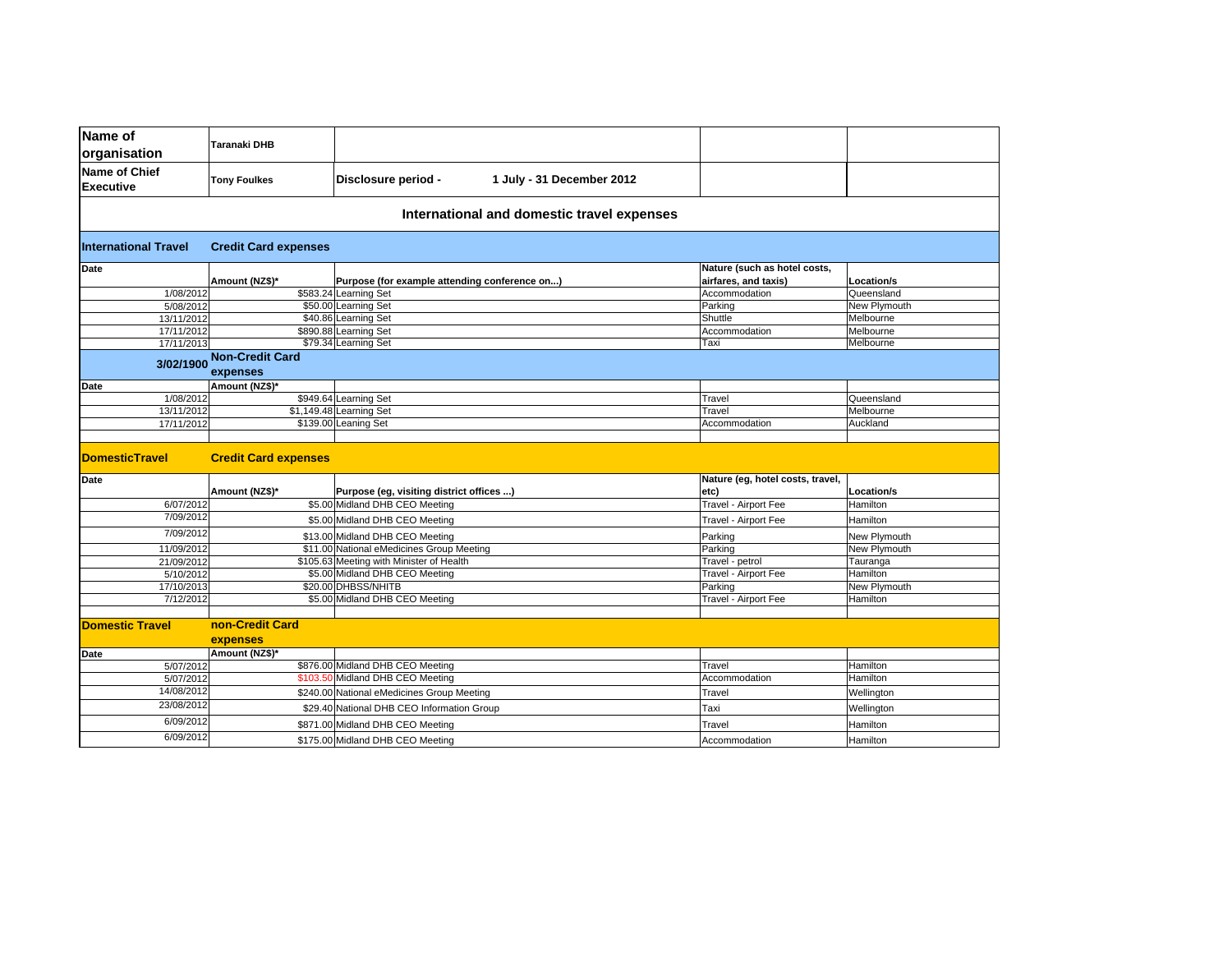| Name of<br>organisation           | Taranaki DHB                                           |                                               |                                            |                                                      |              |
|-----------------------------------|--------------------------------------------------------|-----------------------------------------------|--------------------------------------------|------------------------------------------------------|--------------|
| Name of Chief<br><b>Executive</b> | <b>Tony Foulkes</b>                                    | Disclosure period -                           | 1 July - 31 December 2012                  |                                                      |              |
|                                   |                                                        |                                               | International and domestic travel expenses |                                                      |              |
| <b>International Travel</b>       | <b>Credit Card expenses</b>                            |                                               |                                            |                                                      |              |
| Date                              | Amount (NZ\$)*                                         | Purpose (for example attending conference on) |                                            | Nature (such as hotel costs,<br>airfares, and taxis) | Location/s   |
| 1/08/2012                         |                                                        | \$583.24 Learning Set                         |                                            | Accommodation                                        | Queensland   |
| 5/08/2012                         |                                                        | \$50.00 Learning Set                          |                                            | Parking                                              | New Plymouth |
| 13/11/2012                        |                                                        | \$40.86 Learning Set                          |                                            | Shuttle                                              | Melbourne    |
| 17/11/2012                        |                                                        | \$890.88 Learning Set                         |                                            | Accommodation                                        | Melbourne    |
| 17/11/2013                        |                                                        | \$79.34 Learning Set                          |                                            | Taxi                                                 | Melbourne    |
| 3/02/1900                         | <b>Non-Credit Card</b><br>expenses                     |                                               |                                            |                                                      |              |
| Date                              | Amount (NZ\$)*                                         |                                               |                                            |                                                      |              |
| 1/08/2012                         |                                                        | \$949.64 Learning Set                         |                                            | Travel                                               | Queensland   |
| 13/11/2012                        |                                                        | \$1,149.48 Learning Set                       |                                            | Travel                                               | Melbourne    |
| 17/11/2012                        | \$139.00 Leaning Set                                   |                                               |                                            | Accommodation                                        | Auckland     |
|                                   |                                                        |                                               |                                            |                                                      |              |
| <b>DomesticTravel</b>             | <b>Credit Card expenses</b>                            |                                               |                                            |                                                      |              |
| Date                              | Amount (NZ\$)*                                         | Purpose (eg, visiting district offices )      |                                            | Nature (eg, hotel costs, travel,<br>etc)             | Location/s   |
| 6/07/2012                         |                                                        | \$5.00 Midland DHB CEO Meeting                |                                            | Travel - Airport Fee                                 | Hamilton     |
| 7/09/2012                         | \$5.00 Midland DHB CEO Meeting                         |                                               |                                            | Travel - Airport Fee                                 | Hamilton     |
| 7/09/2012                         | \$13.00 Midland DHB CEO Meeting                        |                                               |                                            | Parking                                              | New Plymouth |
| 11/09/2012                        | \$11.00 National eMedicines Group Meeting              |                                               |                                            | Parking                                              | New Plymouth |
| 21/09/2012                        | \$105.63 Meeting with Minister of Health               |                                               |                                            | Travel - petrol                                      | Tauranga     |
| 5/10/2012                         | \$5.00 Midland DHB CEO Meeting                         |                                               |                                            | Travel - Airport Fee                                 | Hamilton     |
| 17/10/2013                        | \$20.00 DHBSS/NHITB                                    |                                               |                                            | Parking                                              | New Plymouth |
| 7/12/2012                         |                                                        | \$5.00 Midland DHB CEO Meeting                |                                            | Travel - Airport Fee                                 | Hamilton     |
|                                   |                                                        |                                               |                                            |                                                      |              |
| <b>Domestic Travel</b>            | non-Credit Card                                        |                                               |                                            |                                                      |              |
|                                   | expenses                                               |                                               |                                            |                                                      |              |
| Date                              | Amount (NZ\$)*                                         | \$876.00 Midland DHB CEO Meeting              |                                            | Travel                                               | Hamilton     |
| 5/07/2012<br>5/07/2012            |                                                        | \$103.50 Midland DHB CEO Meeting              |                                            | Accommodation                                        | Hamilton     |
| 14/08/2012                        |                                                        |                                               |                                            |                                                      |              |
|                                   |                                                        | \$240.00 National eMedicines Group Meeting    |                                            | Travel                                               | Wellington   |
| 23/08/2012                        | \$29.40 National DHB CEO Information Group<br>Taxi     |                                               |                                            |                                                      | Wellington   |
| 6/09/2012                         | \$871.00 Midland DHB CEO Meeting<br>Hamilton<br>Travel |                                               |                                            |                                                      |              |
| 6/09/2012                         | \$175.00 Midland DHB CEO Meeting                       |                                               |                                            | Accommodation                                        | Hamilton     |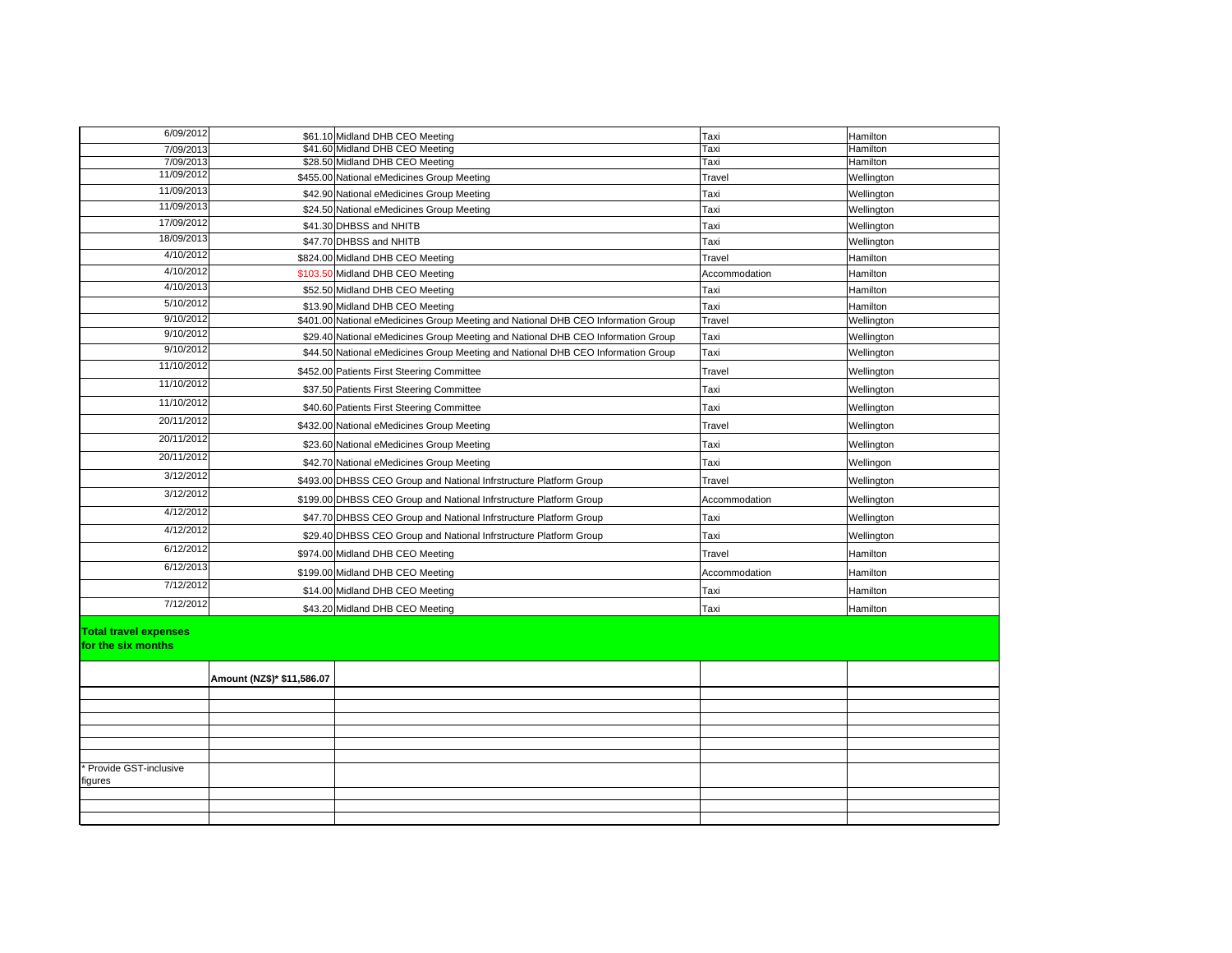| 6/09/2012                                          |                            | \$61.10 Midland DHB CEO Meeting                                                   | Taxi          | Hamilton   |  |
|----------------------------------------------------|----------------------------|-----------------------------------------------------------------------------------|---------------|------------|--|
| 7/09/2013                                          |                            | \$41.60 Midland DHB CEO Meeting                                                   | Taxi          | Hamilton   |  |
| 7/09/2013                                          |                            | \$28.50 Midland DHB CEO Meeting                                                   | Taxi          | Hamilton   |  |
| 11/09/2012                                         |                            | \$455.00 National eMedicines Group Meeting                                        | Travel        | Wellington |  |
| 11/09/2013                                         |                            | \$42.90 National eMedicines Group Meeting                                         | Taxi          | Wellington |  |
| 11/09/2013                                         |                            | \$24.50 National eMedicines Group Meeting                                         | Taxi          | Wellington |  |
| 17/09/2012                                         |                            | \$41.30 DHBSS and NHITB                                                           | Taxi          | Wellington |  |
| 18/09/2013                                         |                            | \$47.70 DHBSS and NHITB                                                           | Taxi          | Wellington |  |
| 4/10/2012                                          |                            | \$824.00 Midland DHB CEO Meeting                                                  | Travel        | Hamilton   |  |
| 4/10/2012                                          |                            | \$103.50 Midland DHB CEO Meeting                                                  | Accommodation | Hamilton   |  |
| 4/10/2013                                          |                            | \$52.50 Midland DHB CEO Meeting                                                   | Taxi          | Hamilton   |  |
| 5/10/2012                                          |                            | \$13.90 Midland DHB CEO Meeting                                                   | Taxi          | Hamilton   |  |
| 9/10/2012                                          |                            | \$401.00 National eMedicines Group Meeting and National DHB CEO Information Group | Travel        | Wellington |  |
| 9/10/2012                                          |                            | \$29.40 National eMedicines Group Meeting and National DHB CEO Information Group  | Taxi          | Wellington |  |
| 9/10/2012                                          |                            | \$44.50 National eMedicines Group Meeting and National DHB CEO Information Group  | Taxi          | Wellington |  |
| 11/10/2012                                         |                            | \$452.00 Patients First Steering Committee                                        | Travel        | Wellington |  |
| 11/10/2012                                         |                            | \$37.50 Patients First Steering Committee                                         | Taxi          | Wellington |  |
| 11/10/2012                                         |                            | \$40.60 Patients First Steering Committee                                         | Taxi          | Wellington |  |
| 20/11/2012                                         |                            | \$432.00 National eMedicines Group Meeting                                        | Travel        | Wellington |  |
| 20/11/2012                                         |                            | \$23.60 National eMedicines Group Meeting                                         | Taxi          | Wellington |  |
| 20/11/2012                                         |                            | \$42.70 National eMedicines Group Meeting                                         | Taxi          | Wellingon  |  |
| 3/12/2012                                          |                            | \$493.00 DHBSS CEO Group and National Infrstructure Platform Group                | Travel        | Wellington |  |
| 3/12/2012                                          |                            | \$199.00 DHBSS CEO Group and National Infrstructure Platform Group                | Accommodation | Wellington |  |
| 4/12/2012                                          |                            | \$47.70 DHBSS CEO Group and National Infrstructure Platform Group                 | Taxi          | Wellington |  |
| 4/12/2012                                          |                            | \$29.40 DHBSS CEO Group and National Infrstructure Platform Group                 | Taxi          | Wellington |  |
| 6/12/2012                                          |                            | \$974.00 Midland DHB CEO Meeting                                                  | Travel        | Hamilton   |  |
| 6/12/2013                                          |                            | \$199.00 Midland DHB CEO Meeting                                                  | Accommodation | Hamilton   |  |
| 7/12/2012                                          |                            | \$14.00 Midland DHB CEO Meeting                                                   | Taxi          | Hamilton   |  |
| 7/12/2012                                          |                            | \$43.20 Midland DHB CEO Meeting                                                   | Taxi          | Hamilton   |  |
| <b>Total travel expenses</b><br>for the six months |                            |                                                                                   |               |            |  |
|                                                    | Amount (NZ\$)* \$11,586.07 |                                                                                   |               |            |  |
|                                                    |                            |                                                                                   |               |            |  |
|                                                    |                            |                                                                                   |               |            |  |
|                                                    |                            |                                                                                   |               |            |  |
|                                                    |                            |                                                                                   |               |            |  |
|                                                    |                            |                                                                                   |               |            |  |
| Provide GST-inclusive<br>figures                   |                            |                                                                                   |               |            |  |
|                                                    |                            |                                                                                   |               |            |  |
|                                                    |                            |                                                                                   |               |            |  |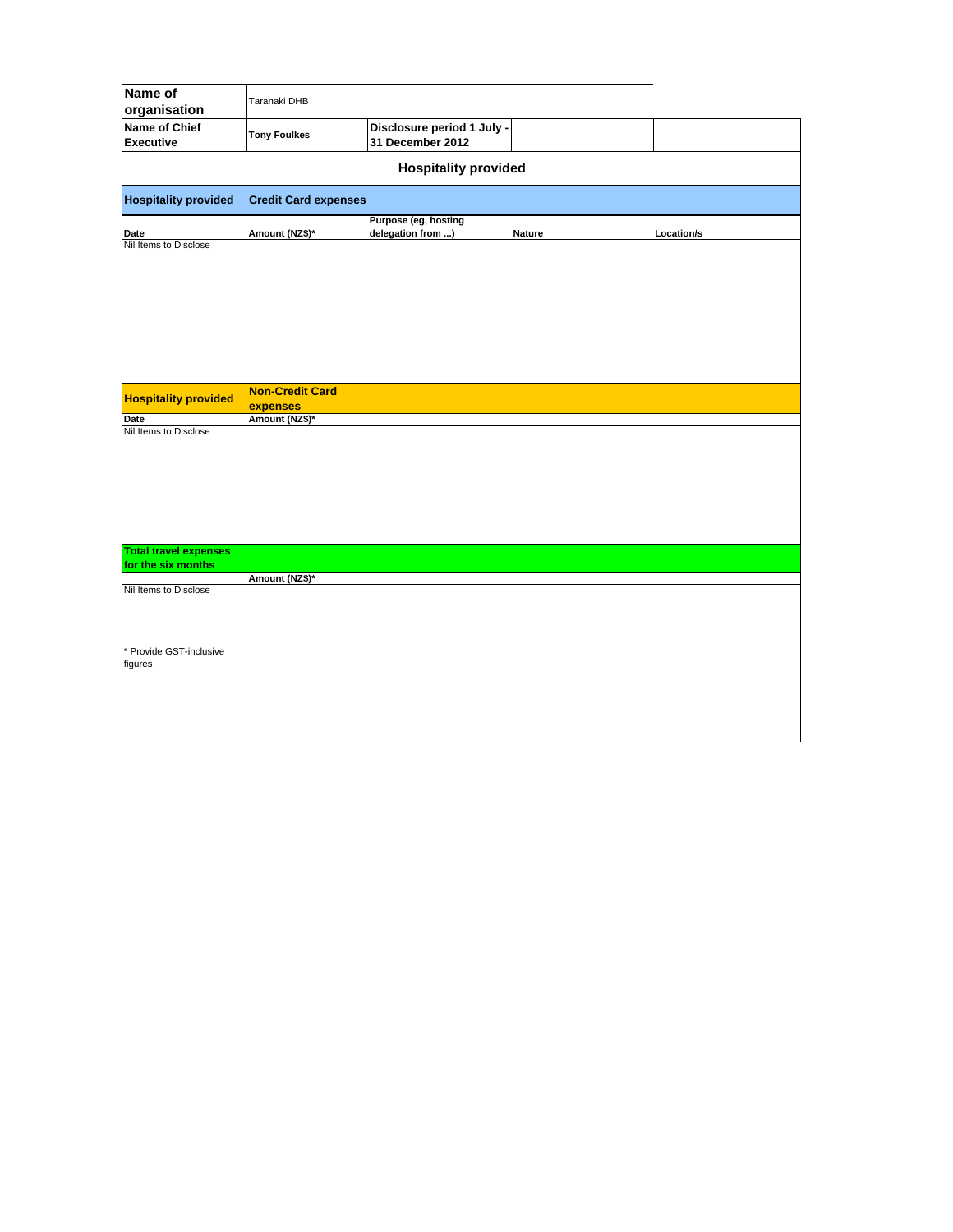| Name of<br>organisation                  | Taranaki DHB                |                                                |        |            |  |  |
|------------------------------------------|-----------------------------|------------------------------------------------|--------|------------|--|--|
| <b>Name of Chief</b><br><b>Executive</b> | <b>Tony Foulkes</b>         | Disclosure period 1 July -<br>31 December 2012 |        |            |  |  |
| <b>Hospitality provided</b>              |                             |                                                |        |            |  |  |
| <b>Hospitality provided</b>              | <b>Credit Card expenses</b> |                                                |        |            |  |  |
| Date                                     | Amount (NZ\$)*              | Purpose (eg, hosting<br>delegation from )      | Nature | Location/s |  |  |
| Nil Items to Disclose                    |                             |                                                |        |            |  |  |
| <b>Hospitality provided</b>              | <b>Non-Credit Card</b>      |                                                |        |            |  |  |
| Date                                     | expenses<br>Amount (NZ\$)*  |                                                |        |            |  |  |
| Nil Items to Disclose                    |                             |                                                |        |            |  |  |
| <b>Total travel expenses</b>             |                             |                                                |        |            |  |  |
| for the six months                       | Amount (NZ\$)*              |                                                |        |            |  |  |
| Nil Items to Disclose                    |                             |                                                |        |            |  |  |
| * Provide GST-inclusive<br>figures       |                             |                                                |        |            |  |  |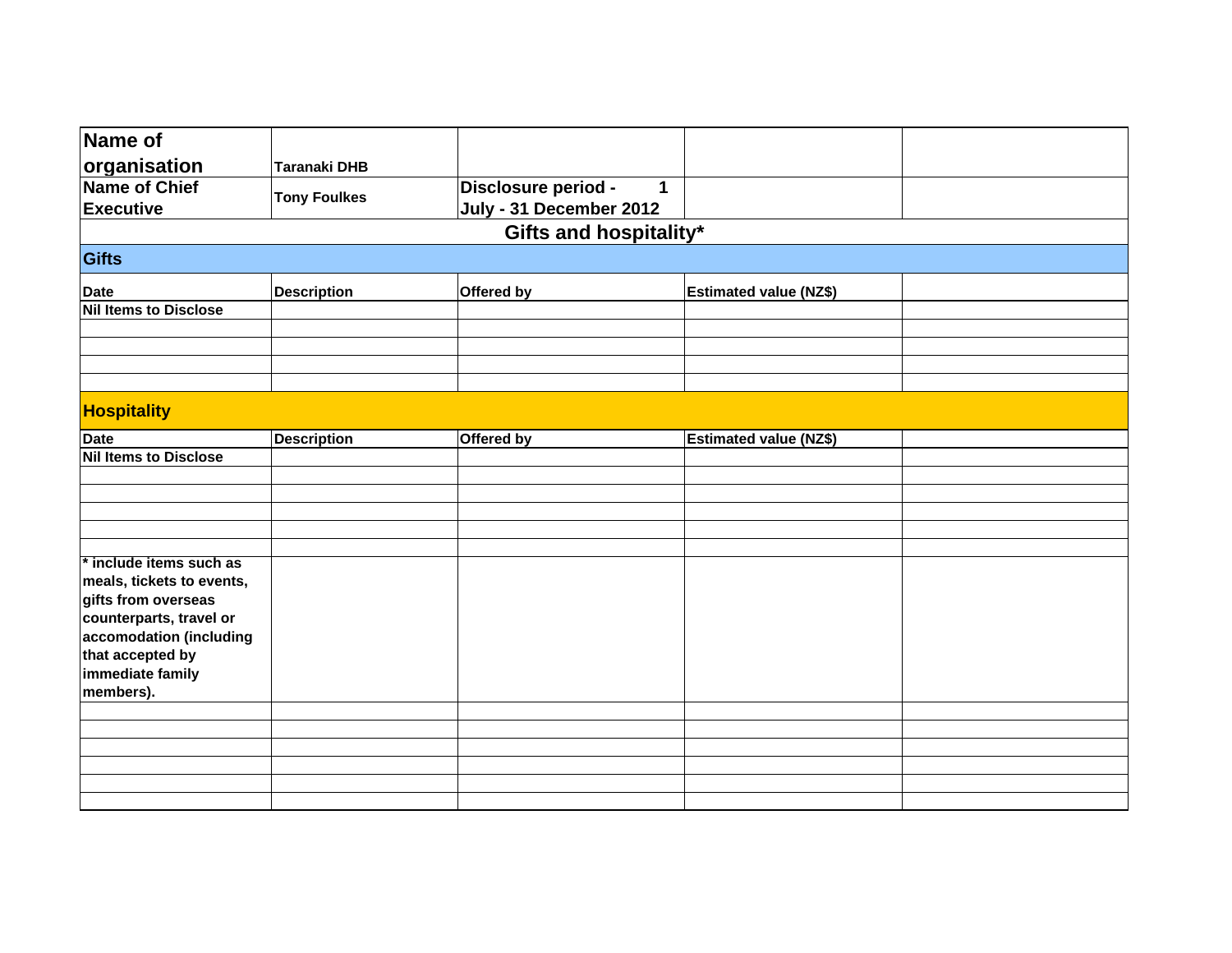| Name of                      |                     |                                                                |                               |  |
|------------------------------|---------------------|----------------------------------------------------------------|-------------------------------|--|
| organisation                 | <b>Taranaki DHB</b> |                                                                |                               |  |
| <b>Name of Chief</b>         |                     | Disclosure period -<br>$\mathbf{1}$<br>July - 31 December 2012 |                               |  |
| <b>Executive</b>             | <b>Tony Foulkes</b> |                                                                |                               |  |
|                              |                     |                                                                | Gifts and hospitality*        |  |
|                              |                     |                                                                |                               |  |
| Gifts                        |                     |                                                                |                               |  |
| <b>Date</b>                  | <b>Description</b>  | Offered by                                                     | <b>Estimated value (NZ\$)</b> |  |
| <b>Nil Items to Disclose</b> |                     |                                                                |                               |  |
|                              |                     |                                                                |                               |  |
|                              |                     |                                                                |                               |  |
|                              |                     |                                                                |                               |  |
|                              |                     |                                                                |                               |  |
| <b>Hospitality</b>           |                     |                                                                |                               |  |
| <b>Date</b>                  | <b>Description</b>  | Offered by                                                     | <b>Estimated value (NZ\$)</b> |  |
| <b>Nil Items to Disclose</b> |                     |                                                                |                               |  |
|                              |                     |                                                                |                               |  |
|                              |                     |                                                                |                               |  |
|                              |                     |                                                                |                               |  |
|                              |                     |                                                                |                               |  |
| * include items such as      |                     |                                                                |                               |  |
| meals, tickets to events,    |                     |                                                                |                               |  |
| gifts from overseas          |                     |                                                                |                               |  |
| counterparts, travel or      |                     |                                                                |                               |  |
| accomodation (including      |                     |                                                                |                               |  |
| that accepted by             |                     |                                                                |                               |  |
| immediate family             |                     |                                                                |                               |  |
| members).                    |                     |                                                                |                               |  |
|                              |                     |                                                                |                               |  |
|                              |                     |                                                                |                               |  |
|                              |                     |                                                                |                               |  |
|                              |                     |                                                                |                               |  |
|                              |                     |                                                                |                               |  |
|                              |                     |                                                                |                               |  |